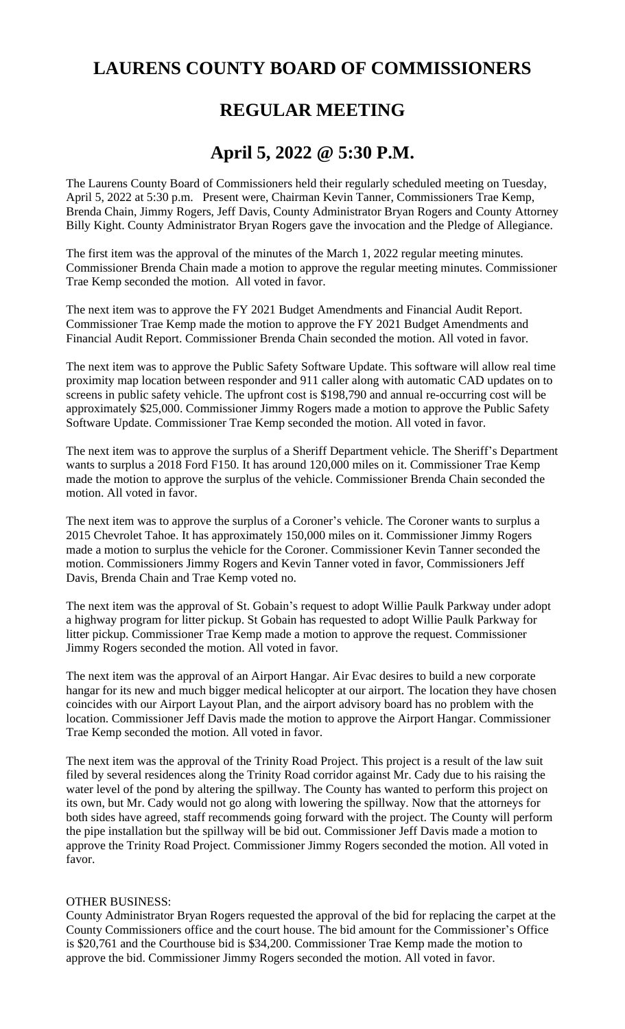## **LAURENS COUNTY BOARD OF COMMISSIONERS**

# **REGULAR MEETING**

## **April 5, 2022 @ 5:30 P.M.**

The Laurens County Board of Commissioners held their regularly scheduled meeting on Tuesday, April 5, 2022 at 5:30 p.m. Present were, Chairman Kevin Tanner, Commissioners Trae Kemp, Brenda Chain, Jimmy Rogers, Jeff Davis, County Administrator Bryan Rogers and County Attorney Billy Kight. County Administrator Bryan Rogers gave the invocation and the Pledge of Allegiance.

The first item was the approval of the minutes of the March 1, 2022 regular meeting minutes. Commissioner Brenda Chain made a motion to approve the regular meeting minutes. Commissioner Trae Kemp seconded the motion. All voted in favor.

The next item was to approve the FY 2021 Budget Amendments and Financial Audit Report. Commissioner Trae Kemp made the motion to approve the FY 2021 Budget Amendments and Financial Audit Report. Commissioner Brenda Chain seconded the motion. All voted in favor.

The next item was to approve the Public Safety Software Update. This software will allow real time proximity map location between responder and 911 caller along with automatic CAD updates on to screens in public safety vehicle. The upfront cost is \$198,790 and annual re-occurring cost will be approximately \$25,000. Commissioner Jimmy Rogers made a motion to approve the Public Safety Software Update. Commissioner Trae Kemp seconded the motion. All voted in favor.

The next item was to approve the surplus of a Sheriff Department vehicle. The Sheriff's Department wants to surplus a 2018 Ford F150. It has around 120,000 miles on it. Commissioner Trae Kemp made the motion to approve the surplus of the vehicle. Commissioner Brenda Chain seconded the motion. All voted in favor.

The next item was to approve the surplus of a Coroner's vehicle. The Coroner wants to surplus a 2015 Chevrolet Tahoe. It has approximately 150,000 miles on it. Commissioner Jimmy Rogers made a motion to surplus the vehicle for the Coroner. Commissioner Kevin Tanner seconded the motion. Commissioners Jimmy Rogers and Kevin Tanner voted in favor, Commissioners Jeff Davis, Brenda Chain and Trae Kemp voted no.

The next item was the approval of St. Gobain's request to adopt Willie Paulk Parkway under adopt a highway program for litter pickup. St Gobain has requested to adopt Willie Paulk Parkway for litter pickup. Commissioner Trae Kemp made a motion to approve the request. Commissioner Jimmy Rogers seconded the motion. All voted in favor.

The next item was the approval of an Airport Hangar. Air Evac desires to build a new corporate hangar for its new and much bigger medical helicopter at our airport. The location they have chosen coincides with our Airport Layout Plan, and the airport advisory board has no problem with the location. Commissioner Jeff Davis made the motion to approve the Airport Hangar. Commissioner Trae Kemp seconded the motion. All voted in favor.

The next item was the approval of the Trinity Road Project. This project is a result of the law suit filed by several residences along the Trinity Road corridor against Mr. Cady due to his raising the water level of the pond by altering the spillway. The County has wanted to perform this project on its own, but Mr. Cady would not go along with lowering the spillway. Now that the attorneys for both sides have agreed, staff recommends going forward with the project. The County will perform the pipe installation but the spillway will be bid out. Commissioner Jeff Davis made a motion to approve the Trinity Road Project. Commissioner Jimmy Rogers seconded the motion. All voted in favor.

#### OTHER BUSINESS:

County Administrator Bryan Rogers requested the approval of the bid for replacing the carpet at the County Commissioners office and the court house. The bid amount for the Commissioner's Office is \$20,761 and the Courthouse bid is \$34,200. Commissioner Trae Kemp made the motion to approve the bid. Commissioner Jimmy Rogers seconded the motion. All voted in favor.